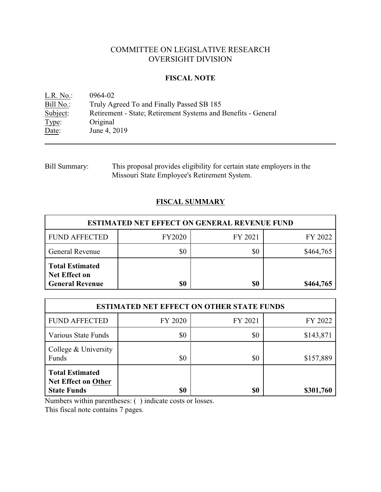# COMMITTEE ON LEGISLATIVE RESEARCH OVERSIGHT DIVISION

## **FISCAL NOTE**

| $L.R. No.$ : | 0964-02                                                       |
|--------------|---------------------------------------------------------------|
| Bill No.:    | Truly Agreed To and Finally Passed SB 185                     |
| Subject:     | Retirement - State; Retirement Systems and Benefits - General |
| Type:        | Original                                                      |
| Date:        | June 4, 2019                                                  |

| Bill Summary: | This proposal provides eligibility for certain state employers in the |
|---------------|-----------------------------------------------------------------------|
|               | Missouri State Employee's Retirement System.                          |

## **FISCAL SUMMARY**

| <b>ESTIMATED NET EFFECT ON GENERAL REVENUE FUND</b>                      |               |         |           |  |  |
|--------------------------------------------------------------------------|---------------|---------|-----------|--|--|
| <b>FUND AFFECTED</b>                                                     | <b>FY2020</b> | FY 2021 | FY 2022   |  |  |
| <b>General Revenue</b>                                                   | \$0           | \$0     | \$464,765 |  |  |
| <b>Total Estimated</b><br><b>Net Effect on</b><br><b>General Revenue</b> | \$0           | \$0     | \$464,765 |  |  |

| <b>ESTIMATED NET EFFECT ON OTHER STATE FUNDS</b>                    |         |         |           |  |  |
|---------------------------------------------------------------------|---------|---------|-----------|--|--|
| <b>FUND AFFECTED</b>                                                | FY 2020 | FY 2021 | FY 2022   |  |  |
| Various State Funds                                                 | \$0     | \$0     | \$143,871 |  |  |
| College & University<br>Funds                                       | \$0     | \$0     | \$157,889 |  |  |
| <b>Total Estimated</b><br>Net Effect on Other<br><b>State Funds</b> | \$0     | \$0     | \$301,760 |  |  |

Numbers within parentheses: ( ) indicate costs or losses.

This fiscal note contains 7 pages.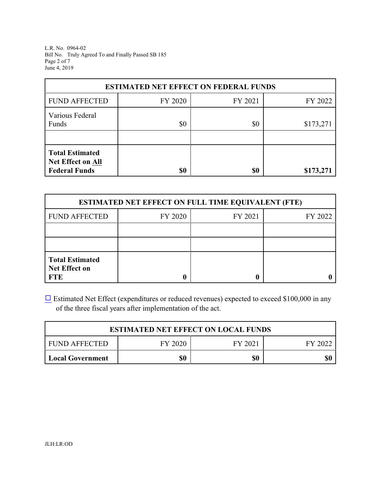L.R. No. 0964-02 Bill No. Truly Agreed To and Finally Passed SB 185 Page 2 of 7 June 4, 2019

| <b>ESTIMATED NET EFFECT ON FEDERAL FUNDS</b>                        |         |         |           |  |  |
|---------------------------------------------------------------------|---------|---------|-----------|--|--|
| <b>FUND AFFECTED</b>                                                | FY 2020 | FY 2021 | FY 2022   |  |  |
| Various Federal<br>Funds                                            | \$0     | \$0     | \$173,271 |  |  |
| <b>Total Estimated</b><br>Net Effect on All<br><b>Federal Funds</b> | \$0     | \$0     | \$173,271 |  |  |

| <b>ESTIMATED NET EFFECT ON FULL TIME EQUIVALENT (FTE)</b>    |         |         |         |  |  |
|--------------------------------------------------------------|---------|---------|---------|--|--|
| <b>FUND AFFECTED</b>                                         | FY 2020 | FY 2021 | FY 2022 |  |  |
|                                                              |         |         |         |  |  |
|                                                              |         |         |         |  |  |
| <b>Total Estimated</b><br><b>Net Effect on</b><br><b>FTE</b> |         |         |         |  |  |

[9](file:///|//checkbox.wcm) Estimated Net Effect (expenditures or reduced revenues) expected to exceed \$100,000 in any of the three fiscal years after implementation of the act.

| <b>ESTIMATED NET EFFECT ON LOCAL FUNDS</b>            |  |  |  |  |  |
|-------------------------------------------------------|--|--|--|--|--|
| FY 2020<br><b>FUND AFFECTED</b><br>FY 2021<br>FY 2022 |  |  |  |  |  |
| \$0<br>\$0<br>Local Government                        |  |  |  |  |  |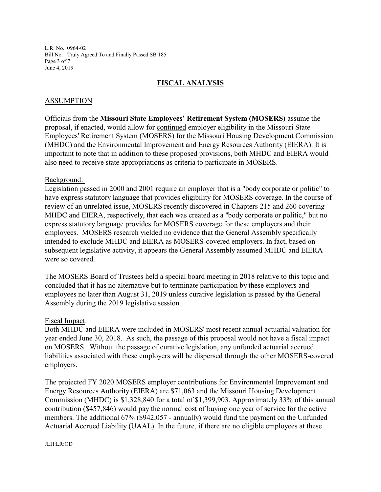L.R. No. 0964-02 Bill No. Truly Agreed To and Finally Passed SB 185 Page 3 of 7 June 4, 2019

### **FISCAL ANALYSIS**

#### ASSUMPTION

Officials from the **Missouri State Employees' Retirement System (MOSERS)** assume the proposal, if enacted, would allow for continued employer eligibility in the Missouri State Employees' Retirement System (MOSERS) for the Missouri Housing Development Commission (MHDC) and the Environmental Improvement and Energy Resources Authority (EIERA). It is important to note that in addition to these proposed provisions, both MHDC and EIERA would also need to receive state appropriations as criteria to participate in MOSERS.

#### Background:

Legislation passed in 2000 and 2001 require an employer that is a "body corporate or politic" to have express statutory language that provides eligibility for MOSERS coverage. In the course of review of an unrelated issue, MOSERS recently discovered in Chapters 215 and 260 covering MHDC and EIERA, respectively, that each was created as a "body corporate or politic," but no express statutory language provides for MOSERS coverage for these employers and their employees. MOSERS research yielded no evidence that the General Assembly specifically intended to exclude MHDC and EIERA as MOSERS-covered employers. In fact, based on subsequent legislative activity, it appears the General Assembly assumed MHDC and EIERA were so covered.

The MOSERS Board of Trustees held a special board meeting in 2018 relative to this topic and concluded that it has no alternative but to terminate participation by these employers and employees no later than August 31, 2019 unless curative legislation is passed by the General Assembly during the 2019 legislative session.

#### Fiscal Impact:

Both MHDC and EIERA were included in MOSERS' most recent annual actuarial valuation for year ended June 30, 2018. As such, the passage of this proposal would not have a fiscal impact on MOSERS. Without the passage of curative legislation, any unfunded actuarial accrued liabilities associated with these employers will be dispersed through the other MOSERS-covered employers.

The projected FY 2020 MOSERS employer contributions for Environmental Improvement and Energy Resources Authority (EIERA) are \$71,063 and the Missouri Housing Development Commission (MHDC) is \$1,328,840 for a total of \$1,399,903. Approximately 33% of this annual contribution (\$457,846) would pay the normal cost of buying one year of service for the active members. The additional 67% (\$942,057 - annually) would fund the payment on the Unfunded Actuarial Accrued Liability (UAAL). In the future, if there are no eligible employees at these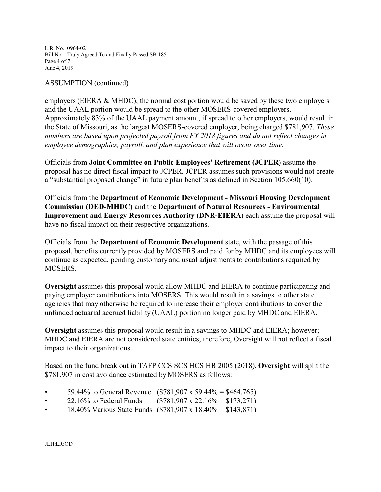L.R. No. 0964-02 Bill No. Truly Agreed To and Finally Passed SB 185 Page 4 of 7 June 4, 2019

### ASSUMPTION (continued)

employers (EIERA & MHDC), the normal cost portion would be saved by these two employers and the UAAL portion would be spread to the other MOSERS-covered employers. Approximately 83% of the UAAL payment amount, if spread to other employers, would result in the State of Missouri, as the largest MOSERS-covered employer, being charged \$781,907. *These numbers are based upon projected payroll from FY 2018 figures and do not reflect changes in employee demographics, payroll, and plan experience that will occur over time.* 

Officials from **Joint Committee on Public Employees' Retirement (JCPER)** assume the proposal has no direct fiscal impact to JCPER. JCPER assumes such provisions would not create a "substantial proposed change" in future plan benefits as defined in Section 105.660(10).

Officials from the **Department of Economic Development - Missouri Housing Development Commission (DED-MHDC)** and the **Department of Natural Resources - Environmental Improvement and Energy Resources Authority (DNR-EIERA)** each assume the proposal will have no fiscal impact on their respective organizations.

Officials from the **Department of Economic Development** state, with the passage of this proposal, benefits currently provided by MOSERS and paid for by MHDC and its employees will continue as expected, pending customary and usual adjustments to contributions required by MOSERS.

**Oversight** assumes this proposal would allow MHDC and EIERA to continue participating and paying employer contributions into MOSERS. This would result in a savings to other state agencies that may otherwise be required to increase their employer contributions to cover the unfunded actuarial accrued liability (UAAL) portion no longer paid by MHDC and EIERA.

**Oversight** assumes this proposal would result in a savings to MHDC and EIERA; however; MHDC and EIERA are not considered state entities; therefore, Oversight will not reflect a fiscal impact to their organizations.

Based on the fund break out in TAFP CCS SCS HCS HB 2005 (2018), **Oversight** will split the \$781,907 in cost avoidance estimated by MOSERS as follows:

- 59.44% to General Revenue (\$781,907 x 59.44% = \$464,765)
- 22.16% to Federal Funds (\$781,907 x 22.16% = \$173,271)
- 18.40% Various State Funds (\$781,907 x 18.40% = \$143,871)

JLH:LR:OD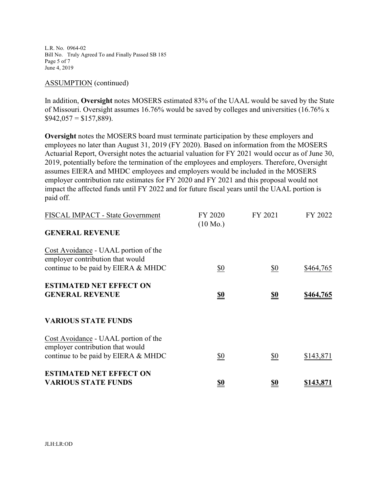L.R. No. 0964-02 Bill No. Truly Agreed To and Finally Passed SB 185 Page 5 of 7 June 4, 2019

#### ASSUMPTION (continued)

In addition, **Oversight** notes MOSERS estimated 83% of the UAAL would be saved by the State of Missouri. Oversight assumes 16.76% would be saved by colleges and universities (16.76% x  $$942,057 = $157,889$ ).

**Oversight** notes the MOSERS board must terminate participation by these employers and employees no later than August 31, 2019 (FY 2020). Based on information from the MOSERS Actuarial Report, Oversight notes the actuarial valuation for FY 2021 would occur as of June 30, 2019, potentially before the termination of the employees and employers. Therefore, Oversight assumes EIERA and MHDC employees and employers would be included in the MOSERS employer contribution rate estimates for FY 2020 and FY 2021 and this proposal would not impact the affected funds until FY 2022 and for future fiscal years until the UAAL portion is paid off.

| FISCAL IMPACT - State Government                                         | FY 2020<br>$(10 \text{ Mo.})$ | FY 2021           | FY 2022          |
|--------------------------------------------------------------------------|-------------------------------|-------------------|------------------|
| <b>GENERAL REVENUE</b>                                                   |                               |                   |                  |
| Cost Avoidance - UAAL portion of the<br>employer contribution that would |                               |                   |                  |
| continue to be paid by EIERA & MHDC                                      | $\underline{\$0}$             | $\underline{\$0}$ | \$464,765        |
| <b>ESTIMATED NET EFFECT ON</b>                                           |                               |                   |                  |
| <b>GENERAL REVENUE</b>                                                   | $\underline{\underline{\$0}}$ | <u>\$0</u>        | <u>\$464,765</u> |
| <b>VARIOUS STATE FUNDS</b>                                               |                               |                   |                  |
| Cost Avoidance - UAAL portion of the<br>employer contribution that would |                               |                   |                  |
| continue to be paid by EIERA & MHDC                                      | $\frac{$0}{}$                 | \$0               | \$143,871        |
| <b>ESTIMATED NET EFFECT ON</b>                                           |                               |                   |                  |
| <b>VARIOUS STATE FUNDS</b>                                               | <u>\$0</u>                    | <u>\$0</u>        | <u>\$143,871</u> |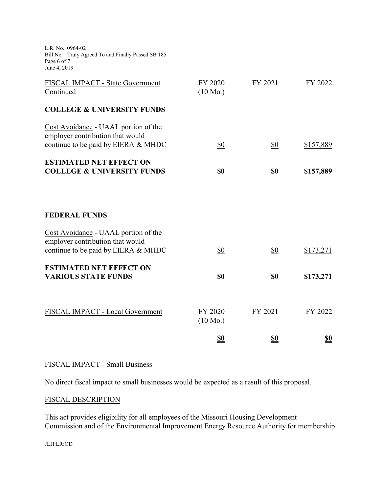L.R. No. 0964-02 Bill No. Truly Agreed To and Finally Passed SB 185 Page 6 of 7 June 4, 2019

| FISCAL IMPACT - State Government<br>Continued                                                                   | FY 2020<br>$(10 \text{ Mo.})$ | FY 2021           | FY 2022    |
|-----------------------------------------------------------------------------------------------------------------|-------------------------------|-------------------|------------|
| <b>COLLEGE &amp; UNIVERSITY FUNDS</b>                                                                           |                               |                   |            |
| Cost Avoidance - UAAL portion of the<br>employer contribution that would<br>continue to be paid by EIERA & MHDC | $\underline{\$0}$             | $\underline{\$0}$ | \$157,889  |
| <b>ESTIMATED NET EFFECT ON</b><br><b>COLLEGE &amp; UNIVERSITY FUNDS</b>                                         | \$0                           | \$0               | \$157,889  |
| <b>FEDERAL FUNDS</b>                                                                                            |                               |                   |            |
| Cost Avoidance - UAAL portion of the<br>employer contribution that would<br>continue to be paid by EIERA & MHDC | \$0                           | \$0               | \$173,271  |
| <b>ESTIMATED NET EFFECT ON</b><br><b>VARIOUS STATE FUNDS</b>                                                    | <u>\$0</u>                    | <u>\$0</u>        | \$173,271  |
| FISCAL IMPACT - Local Government                                                                                | FY 2020<br>$(10 \text{ Mo.})$ | FY 2021           | FY 2022    |
|                                                                                                                 | <u>\$0</u>                    | <u>\$0</u>        | <u>\$0</u> |

## FISCAL IMPACT - Small Business

No direct fiscal impact to small businesses would be expected as a result of this proposal.

## FISCAL DESCRIPTION

This act provides eligibility for all employees of the Missouri Housing Development Commission and of the Environmental Improvement Energy Resource Authority for membership

JLH:LR:OD